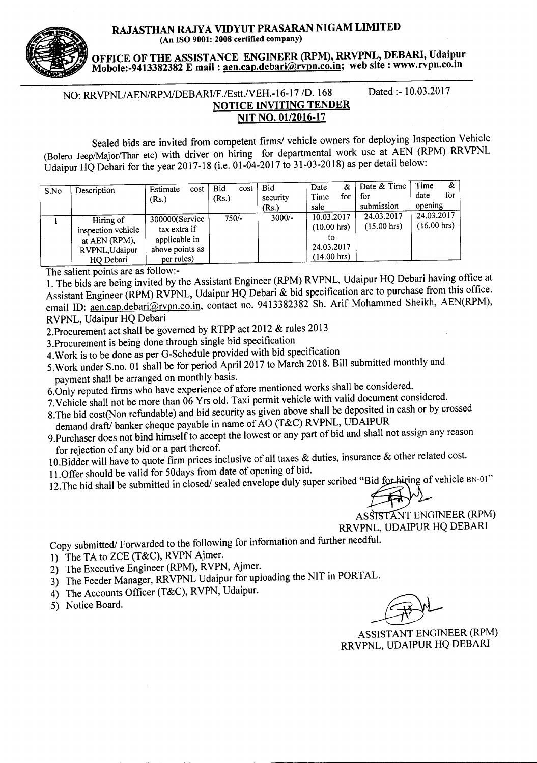RAJASTHAN RAJYA VIDYUT PRASARAN NIGAM LIMITED (An ISO 9001: 2008 certified company)

OFFICE OF THE ASSISTANCE ENGINEER (RPM), RRVPNL, DEBARI, Udaipur Mobole:-9413382382 Email: aen.cap.debari@rvpn.co.in; web site: www.rvpn.co.in

# NO: RRVPNL/AEN/RPM/DEBARI/F./Estt./VEH.-16-17 /D. 168 Dated :- 10.03.2017 NOTICE INVITING TENDER NIT NO. 01/2016-17

Sealed bids are invited from competent *firmsl* vehicle owners for deploying Inspection Vehicle (Bolero Jeep/Major/Thar etc) with driver on hiring for departmental work use at AEN (RPM) RRVPNL Udaipur HQ Debari for the year 2017-18 (i.e. 01-04-2017 to 31-03-2018) as per detail below:

| S.No | Description                                                                     | Estimate<br>cost<br>(Rs.)                                                        | Bid<br>cost<br>(Rs.) | <b>Bid</b><br>security<br>(Rs.) | &<br>Date<br>for<br>Time<br>sale                                                 | Date & Time<br>for<br>submission    | Time<br>&<br>for<br>date<br>opening |
|------|---------------------------------------------------------------------------------|----------------------------------------------------------------------------------|----------------------|---------------------------------|----------------------------------------------------------------------------------|-------------------------------------|-------------------------------------|
|      | Hiring of<br>inspection vehicle<br>at AEN (RPM),<br>RVPNL, Udaipur<br>HQ Debari | 300000(Service<br>tax extra if<br>applicable in<br>above points as<br>per rules) | $750/-$              | $3000/-$                        | 10.03.2017<br>$(10.00 \text{ hrs})$<br>tο<br>24.03.2017<br>$(14.00 \text{ hrs})$ | 24.03.2017<br>$(15.00 \text{ hrs})$ | 24.03.2017<br>$(16.00 \text{ hrs})$ |

The salient points are as follow:-

1. The bids are being invited by the Assistant Engineer (RPM) RVPNL, Udaipur HQ Debari having office at Assistant Engineer (RPM) RVPNL, Udaipur HQ Debari & bid specification are to purchase from this office. email ID: aen.cap.debari@rvpn.co.in.contact no. 9413382382 Sh. Arif Mohammed Sheikh, AEN(RPM), RVPNL, Udaipur HQ Debari

2.Procurement act shall be governed by RTPP act 2012 & rules 2013

3.Procurement is being done through single bid specification

4.Work is to be done as per G-Schedule provided with bid specification

5.Work under S.no. 01 shall be for period April 2017 to March 2018. Bill submitted monthly and payment shall be arranged on monthly basis.

6.0nly reputed firms who have experience of afore mentioned works shall be considered.

7.Vehicle shall not be more than 06 Yrs old. Taxi permit vehicle with valid document considered.

8.The bid cost(Non refundable) and bid security as given above shall be deposited in cash or by crossed demand draft/ banker cheque payable in name of AO (T&C) RVPNL, UDAIPUR

- 9.Purchaser does not bind himself to accept the lowest or any part of bid and shall not assign any reason for rejection of any bid or a part thereof.
- 10. Bidder will have to quote firm prices inclusive of all taxes & duties, insurance & other related cost.

11.0ffer should be valid for 50days from date of opening of bid.

12. The bid shall be submitted in closed/ sealed envelope duly super scribed "Bid for high of vehicle BN-01"

ASSISTANT ENGINEER (RPM) RRVPNL, UDAIPUR HQ DEBARI

Copy submitted/ Forwarded to the following for information and further needful.

- 1) The TA to ZCE (T&C), RVPN Ajmer.
- 2) The Executive Engineer (RPM), RVPN, Ajmer.
- 3) The Feeder Manager, RRVPNL Udaipur for uploading the NIT in PORTAL.
- 4) The Accounts Officer (T&C), RVPN, Udaipur.
- 5) Notice Board.

ASSISTANT ENGINEER (RPM) RRVPNL, UDAIPUR HQ DEBARI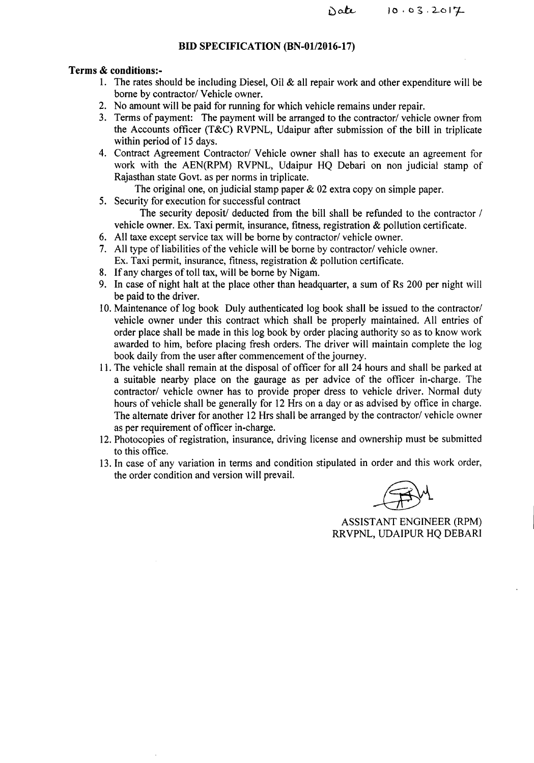#### **BID SPECIFICATION (BN-01/2016-17)**

### Terms & conditions:-

- 1. The rates should be including Diesel, Oil  $\&$  all repair work and other expenditure will be borne by contractor/ Vehicle owner.
- 2. No amount will be paid for running for which vehicle remains under repair.
- 3. Terms of payment: The payment will be arranged to the contractor/ vehicle owner from the Accounts officer (T&C) RVPNL, Udaipur after submission of the bill in triplicate within period of 15 days.
- 4. Contract Agreement Contractor/ Vehicle owner shall has to execute an agreement for work with the AEN(RPM) RVPNL, Udaipur HQ Debari on non judicial stamp of Rajasthan state Govt. as per norms in triplicate.
	- The original one, on judicial stamp paper  $\&$  02 extra copy on simple paper.
- 5. Security for execution for successful contract

The security deposit/ deducted from the bill shall be refunded to the contractor / vehicle owner. Ex. Taxi permit, insurance, fitness, registration & pollution certificate.

- 6. All taxe except service tax will be borne by contractor/ vehicle owner.
- 7. All type of liabilities of the vehicle will be borne by contractor/ vehicle owner. Ex. Taxi permit, insurance, fitness, registration & pollution certificate.
- 8. If any charges of toll tax, will be borne by Nigam.
- 9. In case of night halt at the place other than headquarter, a sum of Rs 200 per night will be paid to the driver.
- 10. Maintenance of log book Duly authenticated log book shall be issued to the contractor/ vehicle owner under this contract which shall be properly maintained. All entries of order place shall be made in this log book by order placing authority so as to know work awarded to him, before placing fresh orders. The driver will maintain complete the log book daily from the user after commencement of the journey.
- 11.The vehicle shall remain at the disposal of officer for all 24 hours and shall be parked at a suitable nearby place on the gaurage as per advice of the officer in-charge. The contractor/ vehicle owner has to provide proper dress to vehicle driver. Normal duty hours of vehicle shall be generally for 12 Hrs on a day or as advised by office in charge. The alternate driver for another 12 Hrs shall be arranged by the contractor/ vehicle owner as per requirement of officer in-charge.
- 12. Photocopies of registration, insurance, driving license and ownership must be submitted to this office.
- 13. In case of any variation in terms and condition stipulated in order and this work order, the order condition and version will prevail.

ASSISTANT ENGINEER (RPM) RRVPNL, UDAIPUR HQ DEBARI